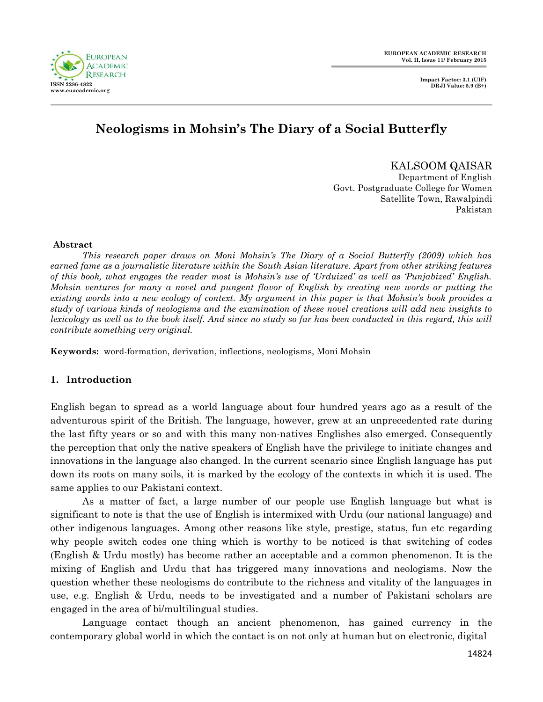

**Impact Factor: 3.1 (UIF) DRJI Value: 5.9 (B+)**

# **Neologisms in Mohsin's The Diary of a Social Butterfly**

KALSOOM QAISAR Department of English Govt. Postgraduate College for Women Satellite Town, Rawalpindi Pakistan

#### **Abstract**

*This research paper draws on Moni Mohsin"s The Diary of a Social Butterfly (2009) which has earned fame as a journalistic literature within the South Asian literature. Apart from other striking features of this book, what engages the reader most is Mohsin"s use of "Urduized" as well as "Punjabized" English. Mohsin ventures for many a novel and pungent flavor of English by creating new words or putting the existing words into a new ecology of context. My argument in this paper is that Mohsin"s book provides a study of various kinds of neologisms and the examination of these novel creations will add new insights to lexicology as well as to the book itself. And since no study so far has been conducted in this regard, this will contribute something very original.*

**Keywords:** word-formation, derivation, inflections, neologisms, Moni Mohsin

# **1. Introduction**

English began to spread as a world language about four hundred years ago as a result of the adventurous spirit of the British. The language, however, grew at an unprecedented rate during the last fifty years or so and with this many non-natives Englishes also emerged. Consequently the perception that only the native speakers of English have the privilege to initiate changes and innovations in the language also changed. In the current scenario since English language has put down its roots on many soils, it is marked by the ecology of the contexts in which it is used. The same applies to our Pakistani context.

As a matter of fact, a large number of our people use English language but what is significant to note is that the use of English is intermixed with Urdu (our national language) and other indigenous languages. Among other reasons like style, prestige, status, fun etc regarding why people switch codes one thing which is worthy to be noticed is that switching of codes (English & Urdu mostly) has become rather an acceptable and a common phenomenon. It is the mixing of English and Urdu that has triggered many innovations and neologisms. Now the question whether these neologisms do contribute to the richness and vitality of the languages in use, e.g. English & Urdu, needs to be investigated and a number of Pakistani scholars are engaged in the area of bi/multilingual studies.

Language contact though an ancient phenomenon, has gained currency in the contemporary global world in which the contact is on not only at human but on electronic, digital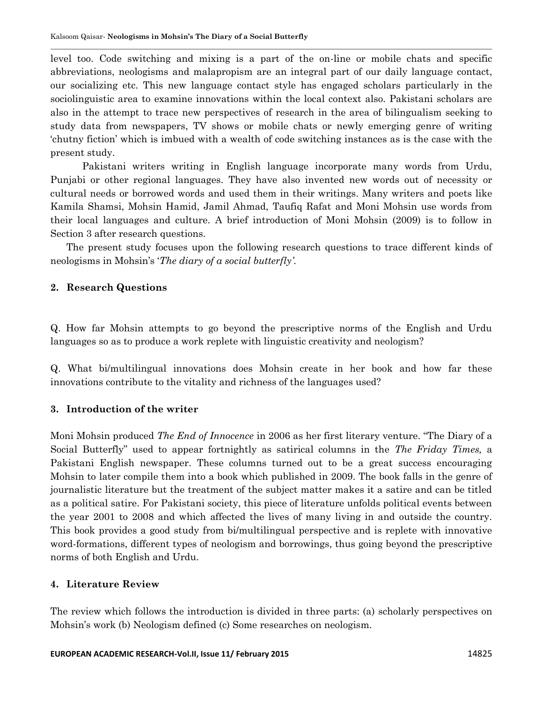level too. Code switching and mixing is a part of the on-line or mobile chats and specific abbreviations, neologisms and malapropism are an integral part of our daily language contact, our socializing etc. This new language contact style has engaged scholars particularly in the sociolinguistic area to examine innovations within the local context also. Pakistani scholars are also in the attempt to trace new perspectives of research in the area of bilingualism seeking to study data from newspapers, TV shows or mobile chats or newly emerging genre of writing "chutny fiction" which is imbued with a wealth of code switching instances as is the case with the present study.

Pakistani writers writing in English language incorporate many words from Urdu, Punjabi or other regional languages. They have also invented new words out of necessity or cultural needs or borrowed words and used them in their writings. Many writers and poets like Kamila Shamsi, Mohsin Hamid, Jamil Ahmad, Taufiq Rafat and Moni Mohsin use words from their local languages and culture. A brief introduction of Moni Mohsin (2009) is to follow in Section 3 after research questions.

The present study focuses upon the following research questions to trace different kinds of neologisms in Mohsin"s "*The diary of a social butterfly"*.

# **2. Research Questions**

Q. How far Mohsin attempts to go beyond the prescriptive norms of the English and Urdu languages so as to produce a work replete with linguistic creativity and neologism?

Q. What bi/multilingual innovations does Mohsin create in her book and how far these innovations contribute to the vitality and richness of the languages used?

# **3. Introduction of the writer**

Moni Mohsin produced *The End of Innocence* in 2006 as her first literary venture. "The Diary of a Social Butterfly" used to appear fortnightly as satirical columns in the *The Friday Times,* a Pakistani English newspaper. These columns turned out to be a great success encouraging Mohsin to later compile them into a book which published in 2009. The book falls in the genre of journalistic literature but the treatment of the subject matter makes it a satire and can be titled as a political satire. For Pakistani society, this piece of literature unfolds political events between the year 2001 to 2008 and which affected the lives of many living in and outside the country. This book provides a good study from bi/multilingual perspective and is replete with innovative word-formations, different types of neologism and borrowings, thus going beyond the prescriptive norms of both English and Urdu.

### **4. Literature Review**

The review which follows the introduction is divided in three parts: (a) scholarly perspectives on Mohsin"s work (b) Neologism defined (c) Some researches on neologism.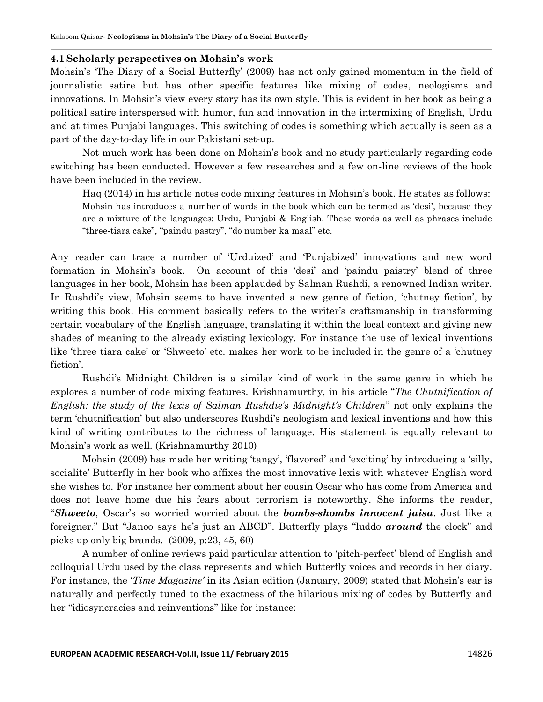### **4.1 Scholarly perspectives on Mohsin's work**

Mohsin"s "The Diary of a Social Butterfly" (2009) has not only gained momentum in the field of journalistic satire but has other specific features like mixing of codes, neologisms and innovations. In Mohsin"s view every story has its own style. This is evident in her book as being a political satire interspersed with humor, fun and innovation in the intermixing of English, Urdu and at times Punjabi languages. This switching of codes is something which actually is seen as a part of the day-to-day life in our Pakistani set-up.

Not much work has been done on Mohsin"s book and no study particularly regarding code switching has been conducted. However a few researches and a few on-line reviews of the book have been included in the review.

Haq (2014) in his article notes code mixing features in Mohsin"s book. He states as follows: Mohsin has introduces a number of words in the book which can be termed as "desi", because they are a mixture of the languages: Urdu, Punjabi & English. These words as well as phrases include "three-tiara cake", "paindu pastry", "do number ka maal" etc.

Any reader can trace a number of "Urduized" and "Punjabized" innovations and new word formation in Mohsin"s book. On account of this "desi" and "paindu paistry" blend of three languages in her book, Mohsin has been applauded by Salman Rushdi, a renowned Indian writer. In Rushdi's view, Mohsin seems to have invented a new genre of fiction, 'chutney fiction', by writing this book. His comment basically refers to the writer's craftsmanship in transforming certain vocabulary of the English language, translating it within the local context and giving new shades of meaning to the already existing lexicology. For instance the use of lexical inventions like "three tiara cake" or "Shweeto" etc. makes her work to be included in the genre of a "chutney fiction'.

Rushdi"s Midnight Children is a similar kind of work in the same genre in which he explores a number of code mixing features. Krishnamurthy, in his article "*The Chutnification of English: the study of the lexis of Salman Rushdie"s Midnight"s Children*" not only explains the term "chutnification" but also underscores Rushdi"s neologism and lexical inventions and how this kind of writing contributes to the richness of language. His statement is equally relevant to Mohsin"s work as well. (Krishnamurthy 2010)

Mohsin (2009) has made her writing "tangy", "flavored" and "exciting" by introducing a "silly, socialite' Butterfly in her book who affixes the most innovative lexis with whatever English word she wishes to. For instance her comment about her cousin Oscar who has come from America and does not leave home due his fears about terrorism is noteworthy. She informs the reader, "*Shweeto*, Oscar"s so worried worried about the *bombs-shombs innocent jaisa*. Just like a foreigner." But "Janoo says he"s just an ABCD". Butterfly plays "luddo *around* the clock" and picks up only big brands. (2009, p:23, 45, 60)

A number of online reviews paid particular attention to "pitch-perfect" blend of English and colloquial Urdu used by the class represents and which Butterfly voices and records in her diary. For instance, the "*Time Magazine"* in its Asian edition (January, 2009) stated that Mohsin"s ear is naturally and perfectly tuned to the exactness of the hilarious mixing of codes by Butterfly and her "idiosyncracies and reinventions" like for instance: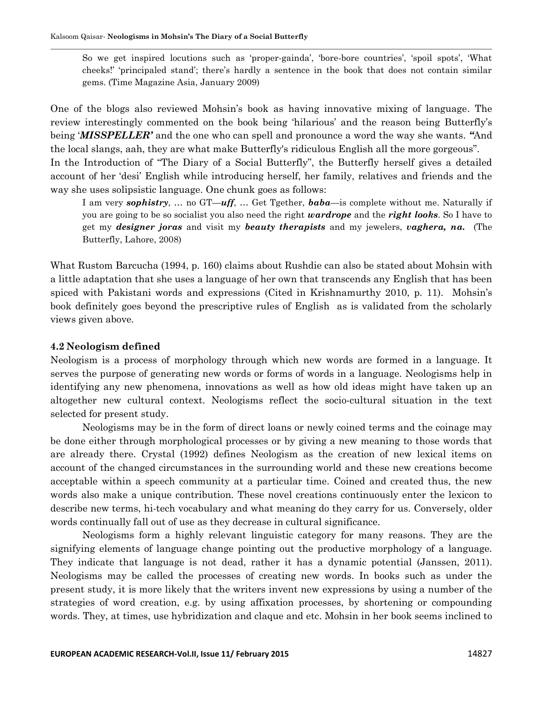So we get inspired locutions such as 'proper-gainda', 'bore-bore countries', 'spoil spots', 'What cheeks!" "principaled stand"; there"s hardly a sentence in the book that does not contain similar gems. (Time Magazine Asia, January 2009)

One of the blogs also reviewed Mohsin"s book as having innovative mixing of language. The review interestingly commented on the book being "hilarious" and the reason being Butterfly"s being "*MISSPELLER'* and the one who can spell and pronounce a word the way she wants. *"*And the local slangs, aah, they are what make Butterfly's ridiculous English all the more gorgeous".

In the Introduction of "The Diary of a Social Butterfly", the Butterfly herself gives a detailed account of her "desi" English while introducing herself, her family, relatives and friends and the way she uses solipsistic language. One chunk goes as follows:

I am very *sophistry*, … no GT—*uff*, … Get Tgether, *baba*—is complete without me. Naturally if you are going to be so socialist you also need the right *wardrope* and the *right looks*. So I have to get my *designer joras* and visit my *beauty therapists* and my jewelers, *vaghera, na.* (The Butterfly, Lahore, 2008)

What Rustom Barcucha (1994, p. 160) claims about Rushdie can also be stated about Mohsin with a little adaptation that she uses a language of her own that transcends any English that has been spiced with Pakistani words and expressions (Cited in Krishnamurthy 2010, p. 11). Mohsin's book definitely goes beyond the prescriptive rules of English as is validated from the scholarly views given above.

#### **4.2 Neologism defined**

Neologism is a process of morphology through which new words are formed in a language. It serves the purpose of generating new words or forms of words in a language. Neologisms help in identifying any new phenomena, innovations as well as how old ideas might have taken up an altogether new cultural context. Neologisms reflect the socio-cultural situation in the text selected for present study.

Neologisms may be in the form of direct loans or newly coined terms and the coinage may be done either through morphological processes or by giving a new meaning to those words that are already there. Crystal (1992) defines Neologism as the creation of new lexical items on account of the changed circumstances in the surrounding world and these new creations become acceptable within a speech community at a particular time. Coined and created thus, the new words also make a unique contribution. These novel creations continuously enter the lexicon to describe new terms, hi-tech vocabulary and what meaning do they carry for us. Conversely, older words continually fall out of use as they decrease in cultural significance.

Neologisms form a highly relevant linguistic category for many reasons. They are the signifying elements of language change pointing out the productive morphology of a language. They indicate that language is not dead, rather it has a dynamic potential (Janssen, 2011). Neologisms may be called the processes of creating new words. In books such as under the present study, it is more likely that the writers invent new expressions by using a number of the strategies of word creation, e.g. by using affixation processes, by shortening or compounding words. They, at times, use hybridization and claque and etc. Mohsin in her book seems inclined to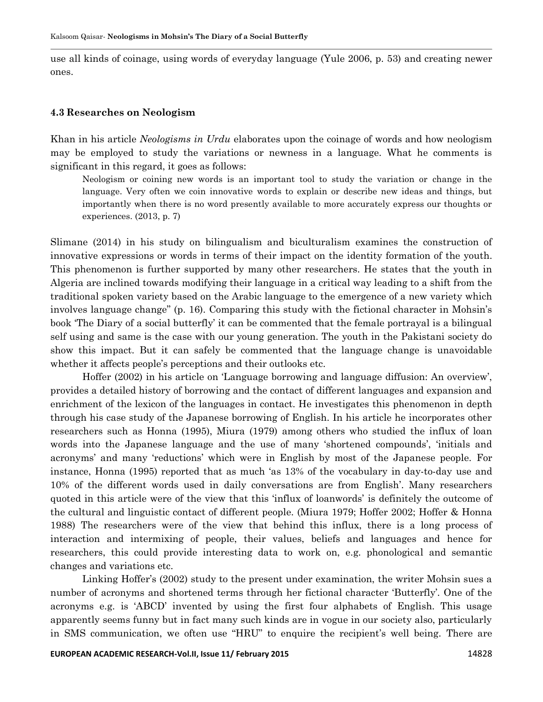use all kinds of coinage, using words of everyday language (Yule 2006, p. 53) and creating newer ones.

#### **4.3 Researches on Neologism**

Khan in his article *Neologisms in Urdu* elaborates upon the coinage of words and how neologism may be employed to study the variations or newness in a language. What he comments is significant in this regard, it goes as follows:

Neologism or coining new words is an important tool to study the variation or change in the language. Very often we coin innovative words to explain or describe new ideas and things, but importantly when there is no word presently available to more accurately express our thoughts or experiences. (2013, p. 7)

Slimane (2014) in his study on bilingualism and biculturalism examines the construction of innovative expressions or words in terms of their impact on the identity formation of the youth. This phenomenon is further supported by many other researchers. He states that the youth in Algeria are inclined towards modifying their language in a critical way leading to a shift from the traditional spoken variety based on the Arabic language to the emergence of a new variety which involves language change" (p. 16). Comparing this study with the fictional character in Mohsin"s book "The Diary of a social butterfly" it can be commented that the female portrayal is a bilingual self using and same is the case with our young generation. The youth in the Pakistani society do show this impact. But it can safely be commented that the language change is unavoidable whether it affects people's perceptions and their outlooks etc.

Hoffer (2002) in his article on "Language borrowing and language diffusion: An overview", provides a detailed history of borrowing and the contact of different languages and expansion and enrichment of the lexicon of the languages in contact. He investigates this phenomenon in depth through his case study of the Japanese borrowing of English. In his article he incorporates other researchers such as Honna (1995), Miura (1979) among others who studied the influx of loan words into the Japanese language and the use of many 'shortened compounds', 'initials and acronyms" and many "reductions" which were in English by most of the Japanese people. For instance, Honna (1995) reported that as much "as 13% of the vocabulary in day-to-day use and 10% of the different words used in daily conversations are from English". Many researchers quoted in this article were of the view that this "influx of loanwords" is definitely the outcome of the cultural and linguistic contact of different people. (Miura 1979; Hoffer 2002; Hoffer & Honna 1988) The researchers were of the view that behind this influx, there is a long process of interaction and intermixing of people, their values, beliefs and languages and hence for researchers, this could provide interesting data to work on, e.g. phonological and semantic changes and variations etc.

Linking Hoffer's (2002) study to the present under examination, the writer Mohsin sues a number of acronyms and shortened terms through her fictional character "Butterfly". One of the acronyms e.g. is "ABCD" invented by using the first four alphabets of English. This usage apparently seems funny but in fact many such kinds are in vogue in our society also, particularly in SMS communication, we often use "HRU" to enquire the recipient's well being. There are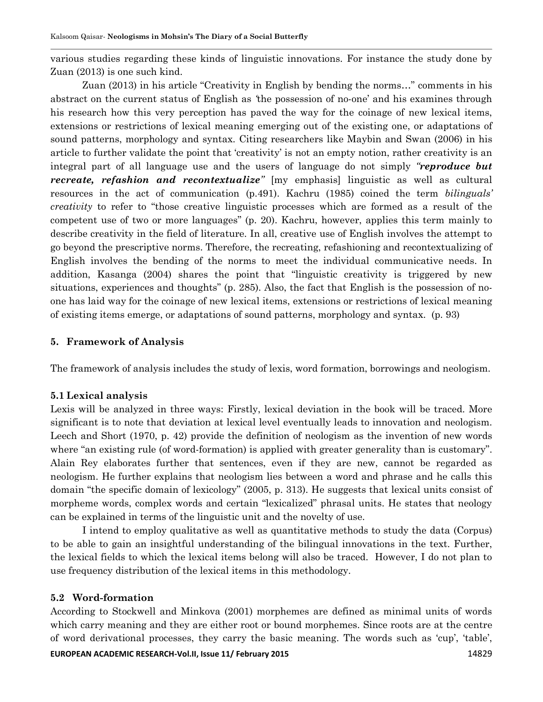various studies regarding these kinds of linguistic innovations. For instance the study done by Zuan (2013) is one such kind.

Zuan (2013) in his article "Creativity in English by bending the norms…" comments in his abstract on the current status of English as *"*the possession of no-one" and his examines through his research how this very perception has paved the way for the coinage of new lexical items, extensions or restrictions of lexical meaning emerging out of the existing one, or adaptations of sound patterns, morphology and syntax. Citing researchers like Maybin and Swan (2006) in his article to further validate the point that "creativity" is not an empty notion, rather creativity is an integral part of all language use and the users of language do not simply *"reproduce but recreate, refashion and recontextualize"* [my emphasis] linguistic as well as cultural resources in the act of communication (p.491). Kachru (1985) coined the term *bilinguals" creativity* to refer to "those creative linguistic processes which are formed as a result of the competent use of two or more languages" (p. 20). Kachru, however, applies this term mainly to describe creativity in the field of literature. In all, creative use of English involves the attempt to go beyond the prescriptive norms. Therefore, the recreating, refashioning and recontextualizing of English involves the bending of the norms to meet the individual communicative needs. In addition, Kasanga (2004) shares the point that "linguistic creativity is triggered by new situations, experiences and thoughts" (p. 285). Also, the fact that English is the possession of noone has laid way for the coinage of new lexical items, extensions or restrictions of lexical meaning of existing items emerge, or adaptations of sound patterns, morphology and syntax. (p. 93)

### **5. Framework of Analysis**

The framework of analysis includes the study of lexis, word formation, borrowings and neologism.

### **5.1 Lexical analysis**

Lexis will be analyzed in three ways: Firstly, lexical deviation in the book will be traced. More significant is to note that deviation at lexical level eventually leads to innovation and neologism. Leech and Short (1970, p. 42) provide the definition of neologism as the invention of new words where "an existing rule (of word-formation) is applied with greater generality than is customary". Alain Rey elaborates further that sentences, even if they are new, cannot be regarded as neologism. He further explains that neologism lies between a word and phrase and he calls this domain "the specific domain of lexicology" (2005, p. 313). He suggests that lexical units consist of morpheme words, complex words and certain "lexicalized" phrasal units. He states that neology can be explained in terms of the linguistic unit and the novelty of use.

I intend to employ qualitative as well as quantitative methods to study the data (Corpus) to be able to gain an insightful understanding of the bilingual innovations in the text. Further, the lexical fields to which the lexical items belong will also be traced. However, I do not plan to use frequency distribution of the lexical items in this methodology.

### **5.2 Word-formation**

According to Stockwell and Minkova (2001) morphemes are defined as minimal units of words which carry meaning and they are either root or bound morphemes. Since roots are at the centre of word derivational processes, they carry the basic meaning. The words such as "cup", "table",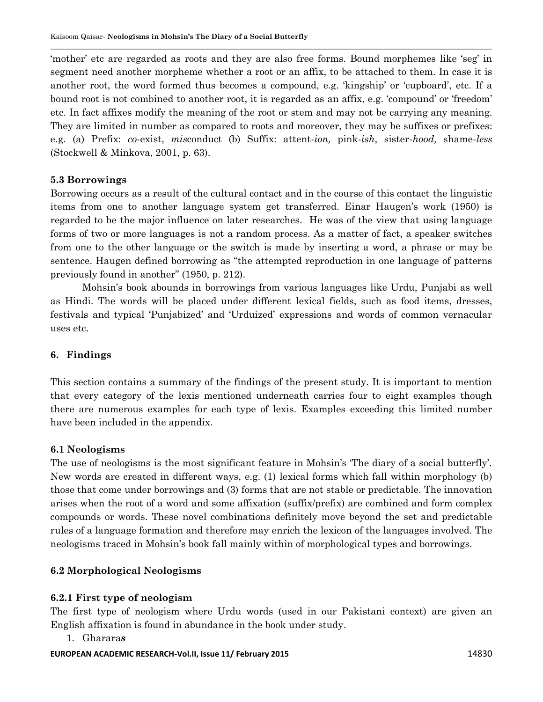"mother" etc are regarded as roots and they are also free forms. Bound morphemes like "seg" in segment need another morpheme whether a root or an affix, to be attached to them. In case it is another root, the word formed thus becomes a compound, e.g. "kingship" or "cupboard", etc. If a bound root is not combined to another root, it is regarded as an affix, e.g. "compound" or "freedom" etc. In fact affixes modify the meaning of the root or stem and may not be carrying any meaning. They are limited in number as compared to roots and moreover, they may be suffixes or prefixes: e.g. (a) Prefix: *co*-exist, *mis*conduct (b) Suffix: attent-*ion,* pink-*ish*, sister-*hood,* shame-*less*  (Stockwell & Minkova, 2001, p. 63).

## **5.3 Borrowings**

Borrowing occurs as a result of the cultural contact and in the course of this contact the linguistic items from one to another language system get transferred. Einar Haugen's work (1950) is regarded to be the major influence on later researches. He was of the view that using language forms of two or more languages is not a random process. As a matter of fact, a speaker switches from one to the other language or the switch is made by inserting a word, a phrase or may be sentence. Haugen defined borrowing as "the attempted reproduction in one language of patterns previously found in another" (1950, p. 212).

Mohsin"s book abounds in borrowings from various languages like Urdu, Punjabi as well as Hindi. The words will be placed under different lexical fields, such as food items, dresses, festivals and typical "Punjabized" and "Urduized" expressions and words of common vernacular uses etc.

## **6. Findings**

This section contains a summary of the findings of the present study. It is important to mention that every category of the lexis mentioned underneath carries four to eight examples though there are numerous examples for each type of lexis. Examples exceeding this limited number have been included in the appendix.

### **6.1 Neologisms**

The use of neologisms is the most significant feature in Mohsin's 'The diary of a social butterfly'. New words are created in different ways, e.g. (1) lexical forms which fall within morphology (b) those that come under borrowings and (3) forms that are not stable or predictable. The innovation arises when the root of a word and some affixation (suffix/prefix) are combined and form complex compounds or words. These novel combinations definitely move beyond the set and predictable rules of a language formation and therefore may enrich the lexicon of the languages involved. The neologisms traced in Mohsin"s book fall mainly within of morphological types and borrowings.

# **6.2 Morphological Neologisms**

### **6.2.1 First type of neologism**

The first type of neologism where Urdu words (used in our Pakistani context) are given an English affixation is found in abundance in the book under study.

1. Gharara*s*

#### **EUROPEAN ACADEMIC RESEARCH-Vol.II, Issue 11/ February 2015** 11 12830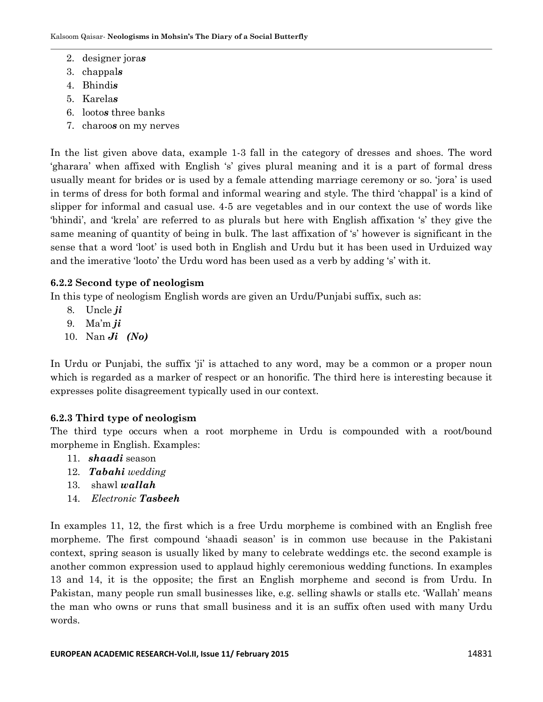- 2. designer jora*s*
- 3. chappal*s*
- 4. Bhindi*s*
- 5. Karela*s*
- 6. looto*s* three banks
- 7. charoo*s* on my nerves

In the list given above data, example 1-3 fall in the category of dresses and shoes. The word "gharara" when affixed with English "s" gives plural meaning and it is a part of formal dress usually meant for brides or is used by a female attending marriage ceremony or so. "jora" is used in terms of dress for both formal and informal wearing and style. The third "chappal" is a kind of slipper for informal and casual use. 4-5 are vegetables and in our context the use of words like "bhindi", and "krela" are referred to as plurals but here with English affixation "s" they give the same meaning of quantity of being in bulk. The last affixation of 's' however is significant in the sense that a word "loot" is used both in English and Urdu but it has been used in Urduized way and the imerative 'looto' the Urdu word has been used as a verb by adding 's' with it.

# **6.2.2 Second type of neologism**

In this type of neologism English words are given an Urdu/Punjabi suffix, such as:

- 8. Uncle *ji*
- 9. Ma"m *ji*
- 10. Nan *Ji (No)*

In Urdu or Punjabi, the suffix 'ji' is attached to any word, may be a common or a proper noun which is regarded as a marker of respect or an honorific. The third here is interesting because it expresses polite disagreement typically used in our context.

# **6.2.3 Third type of neologism**

The third type occurs when a root morpheme in Urdu is compounded with a root/bound morpheme in English. Examples:

- 11. *shaadi* season
- 12. *Tabahi wedding*
- 13. shawl *wallah*
- 14. *Electronic Tasbeeh*

In examples 11, 12, the first which is a free Urdu morpheme is combined with an English free morpheme. The first compound "shaadi season" is in common use because in the Pakistani context, spring season is usually liked by many to celebrate weddings etc. the second example is another common expression used to applaud highly ceremonious wedding functions. In examples 13 and 14, it is the opposite; the first an English morpheme and second is from Urdu. In Pakistan, many people run small businesses like, e.g. selling shawls or stalls etc. "Wallah" means the man who owns or runs that small business and it is an suffix often used with many Urdu words.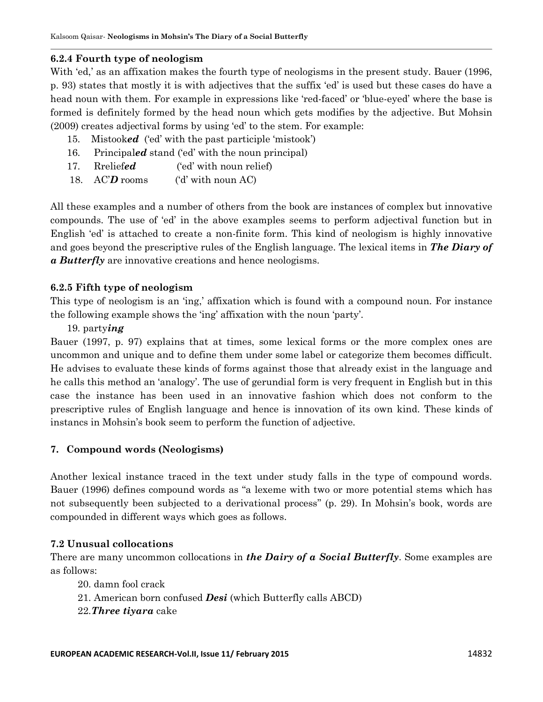# **6.2.4 Fourth type of neologism**

With 'ed,' as an affixation makes the fourth type of neologisms in the present study. Bauer (1996, p. 93) states that mostly it is with adjectives that the suffix "ed" is used but these cases do have a head noun with them. For example in expressions like 'red-faced' or 'blue-eyed' where the base is formed is definitely formed by the head noun which gets modifies by the adjective. But Mohsin (2009) creates adjectival forms by using "ed" to the stem. For example:

- 15. Mistook*ed* ('ed' with the past participle 'mistook')
- 16. Principaled stand ('ed' with the noun principal)
- 17. Rrelief*ed* ("ed" with noun relief)
- 18. ACD rooms (d' with noun AC)

All these examples and a number of others from the book are instances of complex but innovative compounds. The use of "ed" in the above examples seems to perform adjectival function but in English "ed" is attached to create a non-finite form. This kind of neologism is highly innovative and goes beyond the prescriptive rules of the English language. The lexical items in *The Diary of a Butterfly* are innovative creations and hence neologisms.

# **6.2.5 Fifth type of neologism**

This type of neologism is an 'ing,' affixation which is found with a compound noun. For instance the following example shows the "ing" affixation with the noun "party".

# 19. party*ing*

Bauer (1997, p. 97) explains that at times, some lexical forms or the more complex ones are uncommon and unique and to define them under some label or categorize them becomes difficult. He advises to evaluate these kinds of forms against those that already exist in the language and he calls this method an "analogy". The use of gerundial form is very frequent in English but in this case the instance has been used in an innovative fashion which does not conform to the prescriptive rules of English language and hence is innovation of its own kind. These kinds of instancs in Mohsin"s book seem to perform the function of adjective.

# **7. Compound words (Neologisms)**

Another lexical instance traced in the text under study falls in the type of compound words. Bauer (1996) defines compound words as "a lexeme with two or more potential stems which has not subsequently been subjected to a derivational process" (p. 29). In Mohsin's book, words are compounded in different ways which goes as follows.

# **7.2 Unusual collocations**

There are many uncommon collocations in *the Dairy of a Social Butterfly*. Some examples are as follows:

- 20. damn fool crack
- 21. American born confused *Desi* (which Butterfly calls ABCD)
- 22.*Three tiyara* cake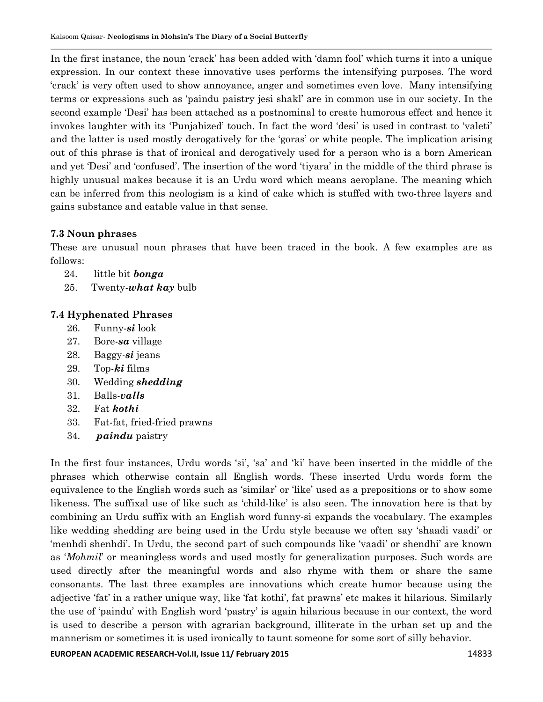In the first instance, the noun "crack" has been added with "damn fool" which turns it into a unique expression. In our context these innovative uses performs the intensifying purposes. The word "crack" is very often used to show annoyance, anger and sometimes even love. Many intensifying terms or expressions such as "paindu paistry jesi shakl" are in common use in our society. In the second example "Desi" has been attached as a postnominal to create humorous effect and hence it invokes laughter with its "Punjabized" touch. In fact the word "desi" is used in contrast to "valeti" and the latter is used mostly derogatively for the "goras" or white people. The implication arising out of this phrase is that of ironical and derogatively used for a person who is a born American and yet "Desi" and "confused". The insertion of the word "tiyara" in the middle of the third phrase is highly unusual makes because it is an Urdu word which means aeroplane. The meaning which can be inferred from this neologism is a kind of cake which is stuffed with two-three layers and gains substance and eatable value in that sense.

# **7.3 Noun phrases**

These are unusual noun phrases that have been traced in the book. A few examples are as follows:

- 24. little bit *bonga*
- 25. Twenty-*what kay* bulb

# **7.4 Hyphenated Phrases**

- 26. Funny-*si* look
- 27. Bore-*sa* village
- 28. Baggy-*si* jeans
- 29. Top-*ki* films
- 30. Wedding *shedding*
- 31. Balls-*valls*
- 32. Fat *kothi*
- 33. Fat-fat, fried-fried prawns
- 34. *paindu* paistry

In the first four instances, Urdu words 'si', 'sa' and 'ki' have been inserted in the middle of the phrases which otherwise contain all English words. These inserted Urdu words form the equivalence to the English words such as "similar" or "like" used as a prepositions or to show some likeness. The suffixal use of like such as "child-like" is also seen. The innovation here is that by combining an Urdu suffix with an English word funny-si expands the vocabulary. The examples like wedding shedding are being used in the Urdu style because we often say "shaadi vaadi" or "menhdi shenhdi". In Urdu, the second part of such compounds like "vaadi" or shendhi" are known as "*Mohmil*" or meaningless words and used mostly for generalization purposes. Such words are used directly after the meaningful words and also rhyme with them or share the same consonants. The last three examples are innovations which create humor because using the adjective 'fat' in a rather unique way, like 'fat kothi', fat prawns' etc makes it hilarious. Similarly the use of "paindu" with English word "pastry" is again hilarious because in our context, the word is used to describe a person with agrarian background, illiterate in the urban set up and the mannerism or sometimes it is used ironically to taunt someone for some sort of silly behavior.

**EUROPEAN ACADEMIC RESEARCH-Vol.II, Issue 11/ February 2015** 14833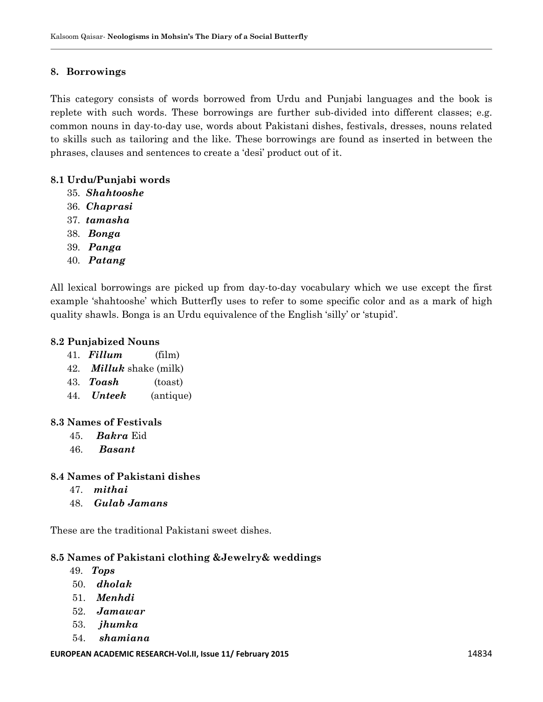### **8. Borrowings**

This category consists of words borrowed from Urdu and Punjabi languages and the book is replete with such words. These borrowings are further sub-divided into different classes; e.g. common nouns in day-to-day use, words about Pakistani dishes, festivals, dresses, nouns related to skills such as tailoring and the like. These borrowings are found as inserted in between the phrases, clauses and sentences to create a "desi" product out of it.

### **8.1 Urdu/Punjabi words**

- 35. *Shahtooshe*
- 36. *Chaprasi*
- 37. *tamasha*
- 38. *Bonga*
- 39. *Panga*
- 40. *Patang*

All lexical borrowings are picked up from day-to-day vocabulary which we use except the first example "shahtooshe" which Butterfly uses to refer to some specific color and as a mark of high quality shawls. Bonga is an Urdu equivalence of the English "silly" or "stupid".

### **8.2 Punjabized Nouns**

- 41. *Fillum* (film)
- 42. *Milluk* shake (milk)
- 43. *Toash* (toast)
- 44. *Unteek* (antique)

### **8.3 Names of Festivals**

- 45. *Bakra* Eid
- 46. *Basant*

### **8.4 Names of Pakistani dishes**

- 47. *mithai*
- 48. *Gulab Jamans*

These are the traditional Pakistani sweet dishes.

### **8.5 Names of Pakistani clothing &Jewelry& weddings**

- 49. *Tops*
- 50. *dholak*
- 51. *Menhdi*
- 52. *Jamawar*
- 53. *jhumka*
- 54. *shamiana*

#### **EUROPEAN ACADEMIC RESEARCH-Vol.II, Issue 11/ February 2015** 11 11 12834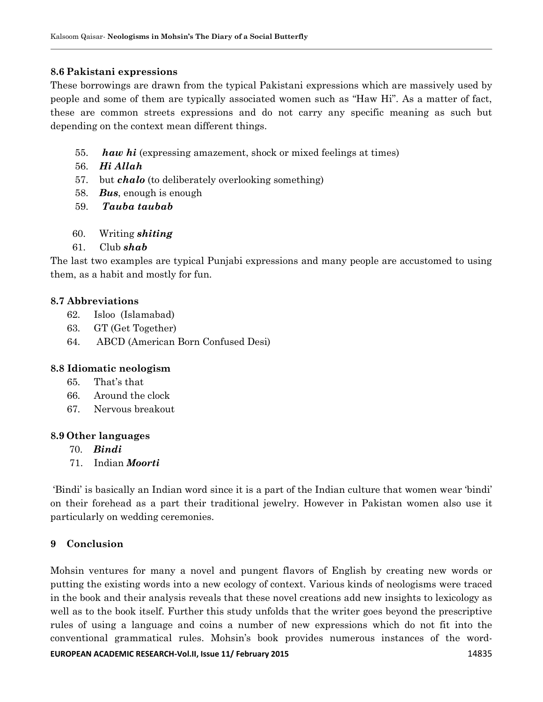## **8.6 Pakistani expressions**

These borrowings are drawn from the typical Pakistani expressions which are massively used by people and some of them are typically associated women such as "Haw Hi". As a matter of fact, these are common streets expressions and do not carry any specific meaning as such but depending on the context mean different things.

- 55. *haw hi* (expressing amazement, shock or mixed feelings at times)
- 56. *Hi Allah*
- 57. but *chalo* (to deliberately overlooking something)
- 58. *Bus*, enough is enough
- 59. *Tauba taubab*
- 60. Writing *shiting*
- 61. Club *shab*

The last two examples are typical Punjabi expressions and many people are accustomed to using them, as a habit and mostly for fun.

# **8.7 Abbreviations**

- 62. Isloo (Islamabad)
- 63. GT (Get Together)
- 64. ABCD (American Born Confused Desi)

# **8.8 Idiomatic neologism**

- 65. That"s that
- 66. Around the clock
- 67. Nervous breakout

### **8.9 Other languages**

- 70. *Bindi*
- 71. Indian *Moorti*

"Bindi" is basically an Indian word since it is a part of the Indian culture that women wear "bindi" on their forehead as a part their traditional jewelry. However in Pakistan women also use it particularly on wedding ceremonies.

# **9 Conclusion**

**EUROPEAN ACADEMIC RESEARCH-Vol.II, Issue 11/ February 2015** 14835 Mohsin ventures for many a novel and pungent flavors of English by creating new words or putting the existing words into a new ecology of context. Various kinds of neologisms were traced in the book and their analysis reveals that these novel creations add new insights to lexicology as well as to the book itself. Further this study unfolds that the writer goes beyond the prescriptive rules of using a language and coins a number of new expressions which do not fit into the conventional grammatical rules. Mohsin"s book provides numerous instances of the word